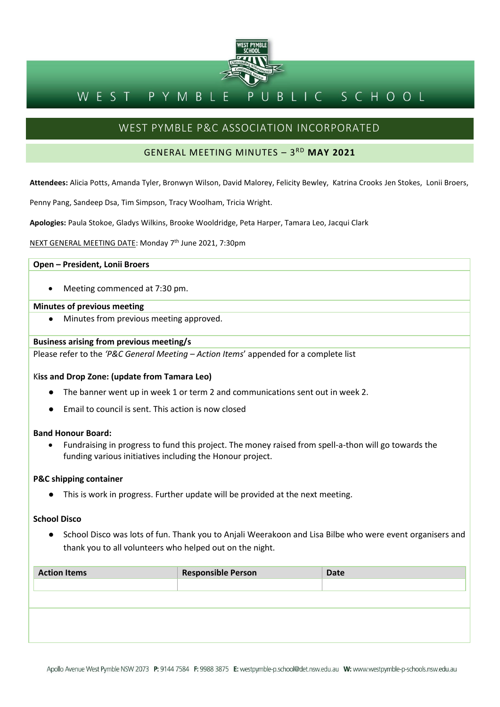

#### BLIC SCHOOL WEST PYMBL P

# WEST PYMBLE P&C ASSOCIATION INCORPORATED

# GENERAL MEETING MINUTES – 3 RD **MAY 2021**

**Attendees:** Alicia Potts, Amanda Tyler, Bronwyn Wilson, David Malorey, Felicity Bewley, Katrina Crooks Jen Stokes, Lonii Broers,

Penny Pang, Sandeep Dsa, Tim Simpson, Tracy Woolham, Tricia Wright.

**Apologies:** Paula Stokoe, Gladys Wilkins, Brooke Wooldridge, Peta Harper, Tamara Leo, Jacqui Clark

NEXT GENERAL MEETING DATE: Monday 7 th June 2021, 7:30pm

# **Open – President, Lonii Broers**

• Meeting commenced at 7:30 pm.

# **Minutes of previous meeting**

Minutes from previous meeting approved.

### **Business arising from previous meeting/s**

Please refer to the *'P&C General Meeting – Action Items*' appended for a complete list

# K**iss and Drop Zone: (update from Tamara Leo)**

- The banner went up in week 1 or term 2 and communications sent out in week 2.
- Email to council is sent. This action is now closed

### **Band Honour Board:**

• Fundraising in progress to fund this project. The money raised from spell-a-thon will go towards the funding various initiatives including the Honour project.

### **P&C shipping container**

● This is work in progress. Further update will be provided at the next meeting.

# **School Disco**

● School Disco was lots of fun. Thank you to Anjali Weerakoon and Lisa Bilbe who were event organisers and thank you to all volunteers who helped out on the night.

| <b>Action Items</b> | <b>Responsible Person</b> | <b>Date</b> |
|---------------------|---------------------------|-------------|
|                     |                           |             |
|                     |                           |             |
|                     |                           |             |
|                     |                           |             |
|                     |                           |             |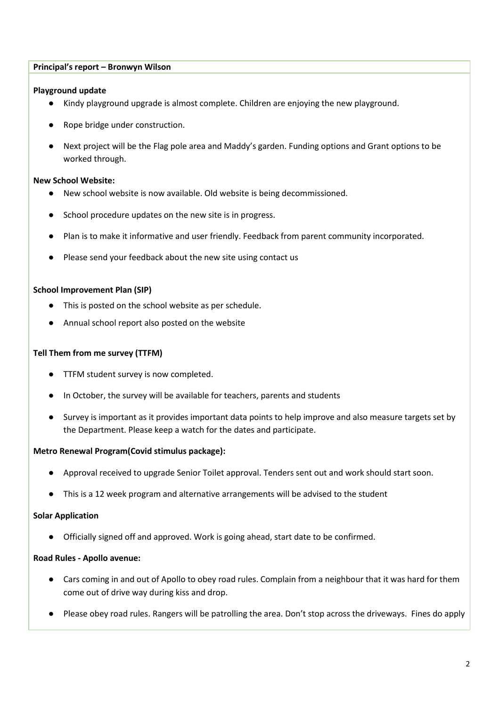# **Principal's report – Bronwyn Wilson**

# **Playground update**

- Kindy playground upgrade is almost complete. Children are enjoying the new playground.
- Rope bridge under construction.
- Next project will be the Flag pole area and Maddy's garden. Funding options and Grant options to be worked through.

# **New School Website:**

- New school website is now available. Old website is being decommissioned.
- School procedure updates on the new site is in progress.
- Plan is to make it informative and user friendly. Feedback from parent community incorporated.
- Please send your feedback about the new site using contact us

# **School Improvement Plan (SIP)**

- This is posted on the school website as per schedule.
- Annual school report also posted on the website

# **Tell Them from me survey (TTFM)**

- TTFM student survey is now completed.
- In October, the survey will be available for teachers, parents and students
- Survey is important as it provides important data points to help improve and also measure targets set by the Department. Please keep a watch for the dates and participate.

# **Metro Renewal Program(Covid stimulus package):**

- Approval received to upgrade Senior Toilet approval. Tenders sent out and work should start soon.
- This is a 12 week program and alternative arrangements will be advised to the student

# **Solar Application**

● Officially signed off and approved. Work is going ahead, start date to be confirmed.

# **Road Rules - Apollo avenue:**

- Cars coming in and out of Apollo to obey road rules. Complain from a neighbour that it was hard for them come out of drive way during kiss and drop.
- Please obey road rules. Rangers will be patrolling the area. Don't stop across the driveways. Fines do apply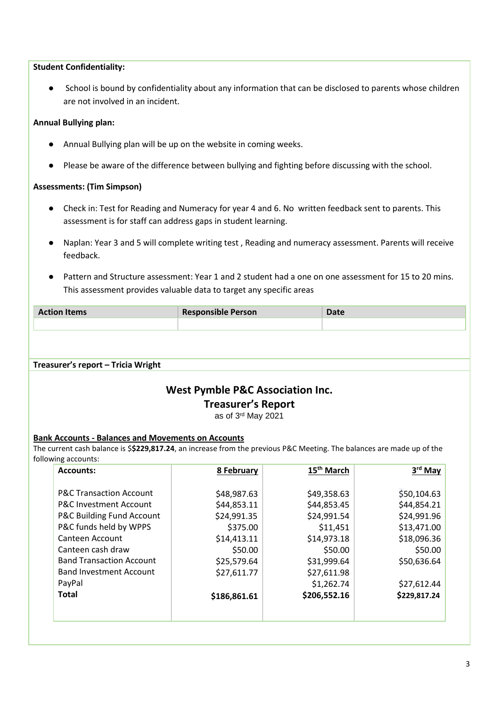# **Student Confidentiality:**

● School is bound by confidentiality about any information that can be disclosed to parents whose children are not involved in an incident.

# **Annual Bullying plan:**

- Annual Bullying plan will be up on the website in coming weeks.
- Please be aware of the difference between bullying and fighting before discussing with the school.

# **Assessments: (Tim Simpson)**

- Check in: Test for Reading and Numeracy for year 4 and 6. No written feedback sent to parents. This assessment is for staff can address gaps in student learning.
- Naplan: Year 3 and 5 will complete writing test , Reading and numeracy assessment. Parents will receive feedback.
- Pattern and Structure assessment: Year 1 and 2 student had a one on one assessment for 15 to 20 mins. This assessment provides valuable data to target any specific areas

| <b>Action Items</b> | <b>Responsible Person</b> | Date |
|---------------------|---------------------------|------|
|                     |                           |      |

### **Treasurer's report – Tricia Wright**

# **West Pymble P&C Association Inc.**

# **Treasurer's Report**

as of 3 rd May 2021

# **Bank Accounts - Balances and Movements on Accounts**

The current cash balance is \$**\$229,817.24**, an increase from the previous P&C Meeting. The balances are made up of the following accounts:

| 8 February   | 15 <sup>th</sup> March | 3 <sup>rd</sup> May |
|--------------|------------------------|---------------------|
| \$48,987.63  | \$49,358.63            | \$50,104.63         |
| \$44,853.11  | \$44,853.45            | \$44,854.21         |
| \$24,991.35  | \$24,991.54            | \$24,991.96         |
| \$375.00     | \$11,451               | \$13,471.00         |
| \$14,413.11  | \$14,973.18            | \$18,096.36         |
| \$50.00      | \$50.00                | \$50.00             |
| \$25,579.64  | \$31,999.64            | \$50,636.64         |
| \$27,611.77  | \$27,611.98            |                     |
|              |                        | \$27,612.44         |
| \$186,861.61 | \$206,552.16           | \$229,817.24        |
|              |                        |                     |
|              |                        | \$1,262.74          |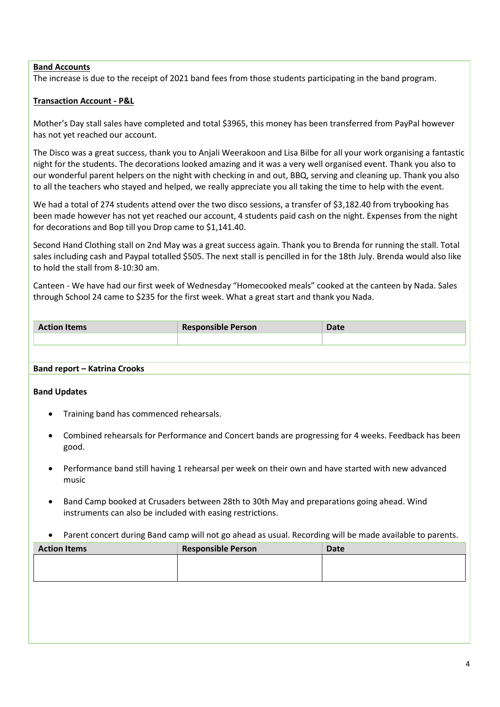# **Band Accounts**

The increase is due to the receipt of 2021 band fees from those students participating in the band program.

# **Transaction Account - P&L**

Mother's Day stall sales have completed and total \$3965, this money has been transferred from PayPal however has not yet reached our account.

The Disco was a great success, thank you to Anjali Weerakoon and Lisa Bilbe for all your work organising a fantastic night for the students. The decorations looked amazing and it was a very well organised event. Thank you also to our wonderful parent helpers on the night with checking in and out, BBQ, serving and cleaning up. Thank you also to all the teachers who stayed and helped, we really appreciate you all taking the time to help with the event.

We had a total of 274 students attend over the two disco sessions, a transfer of \$3,182.40 from trybooking has been made however has not yet reached our account, 4 students paid cash on the night. Expenses from the night for decorations and Bop till you Drop came to \$1,141.40.

Second Hand Clothing stall on 2nd May was a great success again. Thank you to Brenda for running the stall. Total sales including cash and Paypal totalled \$505. The next stall is pencilled in for the 18th July. Brenda would also like to hold the stall from 8-10:30 am.

Canteen - We have had our first week of Wednesday "Homecooked meals" cooked at the canteen by Nada. Sales through School 24 came to \$235 for the first week. What a great start and thank you Nada.

| <b>Action Items</b> | <b>Responsible Person</b> | <b>Date</b> |
|---------------------|---------------------------|-------------|
|                     |                           |             |

# **Band report – Katrina Crooks**

# **Band Updates**

- Training band has commenced rehearsals.
- Combined rehearsals for Performance and Concert bands are progressing for 4 weeks. Feedback has been good.
- Performance band still having 1 rehearsal per week on their own and have started with new advanced music
- Band Camp booked at Crusaders between 28th to 30th May and preparations going ahead. Wind instruments can also be included with easing restrictions.
- Parent concert during Band camp will not go ahead as usual. Recording will be made available to parents.

| <b>Action Items</b> | <b>Responsible Person</b> | Date |
|---------------------|---------------------------|------|
|                     |                           |      |
|                     |                           |      |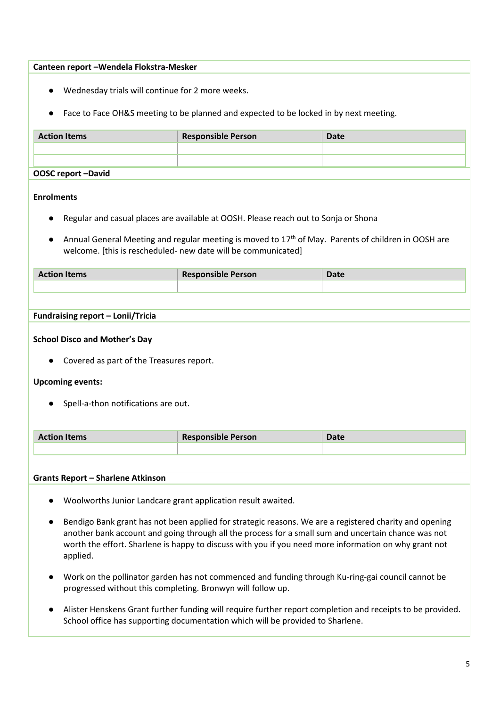# **Canteen report –Wendela Flokstra-Mesker**

- Wednesday trials will continue for 2 more weeks.
- Face to Face OH&S meeting to be planned and expected to be locked in by next meeting.

| <b>Action Items</b> | <b>Responsible Person</b> | <b>Date</b> |
|---------------------|---------------------------|-------------|
|                     |                           |             |
|                     |                           |             |
| OOSC report -David  |                           |             |

# **Enrolments**

- Regular and casual places are available at OOSH. Please reach out to Sonja or Shona
- Annual General Meeting and regular meeting is moved to  $17<sup>th</sup>$  of May. Parents of children in OOSH are welcome. [this is rescheduled- new date will be communicated]

| <b>Action Items</b> | <b>Responsible Person</b> | <b>Date</b> |
|---------------------|---------------------------|-------------|
|                     |                           |             |

# **Fundraising report – Lonii/Tricia**

# **School Disco and Mother's Day**

● Covered as part of the Treasures report.

# **Upcoming events:**

● Spell-a-thon notifications are out.

| <b>Action Items</b> | <b>Responsible Person</b> | Date |
|---------------------|---------------------------|------|
|                     |                           |      |

### **Grants Report – Sharlene Atkinson**

- Woolworths Junior Landcare grant application result awaited.
- Bendigo Bank grant has not been applied for strategic reasons. We are a registered charity and opening another bank account and going through all the process for a small sum and uncertain chance was not worth the effort. Sharlene is happy to discuss with you if you need more information on why grant not applied.
- Work on the pollinator garden has not commenced and funding through Ku-ring-gai council cannot be progressed without this completing. Bronwyn will follow up.
- Alister Henskens Grant further funding will require further report completion and receipts to be provided. School office has supporting documentation which will be provided to Sharlene.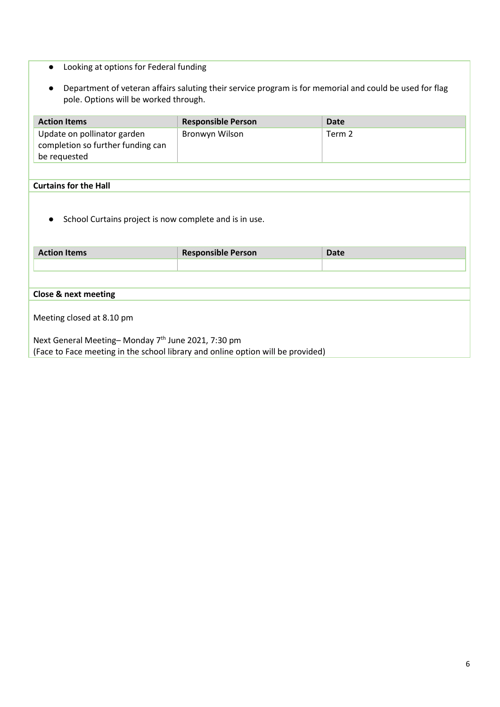- Looking at options for Federal funding
- Department of veteran affairs saluting their service program is for memorial and could be used for flag pole. Options will be worked through.

| <b>Action Items</b>                                                 | <b>Responsible Person</b> | <b>Date</b> |  |  |
|---------------------------------------------------------------------|---------------------------|-------------|--|--|
| Update on pollinator garden                                         | Bronwyn Wilson            | Term 2      |  |  |
| completion so further funding can                                   |                           |             |  |  |
| be requested                                                        |                           |             |  |  |
|                                                                     |                           |             |  |  |
| <b>Curtains for the Hall</b>                                        |                           |             |  |  |
| School Curtains project is now complete and is in use.<br>$\bullet$ |                           |             |  |  |
| <b>Action Items</b>                                                 | <b>Responsible Person</b> | <b>Date</b> |  |  |
|                                                                     |                           |             |  |  |
|                                                                     |                           |             |  |  |
| <b>Close &amp; next meeting</b>                                     |                           |             |  |  |
|                                                                     |                           |             |  |  |
| Meeting closed at 8.10 pm                                           |                           |             |  |  |
| Next General Meeting-Monday 7th June 2021, 7:30 pm                  |                           |             |  |  |

(Face to Face meeting in the school library and online option will be provided)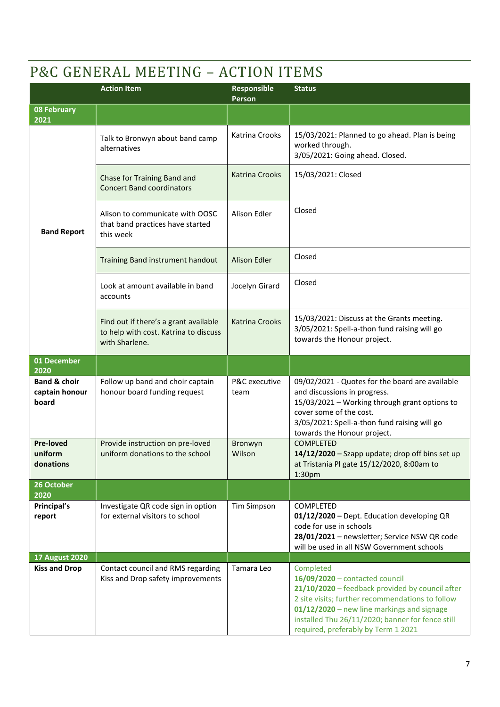# P&C GENERAL MEETING – ACTION ITEMS

|                                                    | <b>Action Item</b>                                                                               | Responsible<br>Person | <b>Status</b>                                                                                                                                                                                                                                                                               |
|----------------------------------------------------|--------------------------------------------------------------------------------------------------|-----------------------|---------------------------------------------------------------------------------------------------------------------------------------------------------------------------------------------------------------------------------------------------------------------------------------------|
| <b>08 February</b><br>2021                         |                                                                                                  |                       |                                                                                                                                                                                                                                                                                             |
|                                                    | Talk to Bronwyn about band camp<br>alternatives                                                  | Katrina Crooks        | 15/03/2021: Planned to go ahead. Plan is being<br>worked through.<br>3/05/2021: Going ahead. Closed.                                                                                                                                                                                        |
|                                                    | Chase for Training Band and<br><b>Concert Band coordinators</b>                                  | <b>Katrina Crooks</b> | 15/03/2021: Closed                                                                                                                                                                                                                                                                          |
| <b>Band Report</b>                                 | Alison to communicate with OOSC<br>that band practices have started<br>this week                 | Alison Edler          | Closed                                                                                                                                                                                                                                                                                      |
|                                                    | Training Band instrument handout                                                                 | <b>Alison Edler</b>   | Closed                                                                                                                                                                                                                                                                                      |
|                                                    | Look at amount available in band<br>accounts                                                     | Jocelyn Girard        | Closed                                                                                                                                                                                                                                                                                      |
|                                                    | Find out if there's a grant available<br>to help with cost. Katrina to discuss<br>with Sharlene. | <b>Katrina Crooks</b> | 15/03/2021: Discuss at the Grants meeting.<br>3/05/2021: Spell-a-thon fund raising will go<br>towards the Honour project.                                                                                                                                                                   |
| 01 December<br>2020                                |                                                                                                  |                       |                                                                                                                                                                                                                                                                                             |
| <b>Band &amp; choir</b><br>captain honour<br>board | Follow up band and choir captain<br>honour board funding request                                 | P&C executive<br>team | 09/02/2021 - Quotes for the board are available<br>and discussions in progress.<br>15/03/2021 - Working through grant options to<br>cover some of the cost.<br>3/05/2021: Spell-a-thon fund raising will go<br>towards the Honour project.                                                  |
| <b>Pre-loved</b><br>uniform<br>donations           | Provide instruction on pre-loved<br>uniform donations to the school                              | Bronwyn<br>Wilson     | <b>COMPLETED</b><br>14/12/2020 - Szapp update; drop off bins set up<br>at Tristania Pl gate 15/12/2020, 8:00am to<br>1:30 <sub>pm</sub>                                                                                                                                                     |
| 26 October<br>2020                                 |                                                                                                  |                       |                                                                                                                                                                                                                                                                                             |
| Principal's<br>report                              | Investigate QR code sign in option<br>for external visitors to school                            | <b>Tim Simpson</b>    | COMPLETED<br>01/12/2020 - Dept. Education developing QR<br>code for use in schools<br>28/01/2021 - newsletter; Service NSW QR code<br>will be used in all NSW Government schools                                                                                                            |
| <b>17 August 2020</b>                              |                                                                                                  |                       |                                                                                                                                                                                                                                                                                             |
| <b>Kiss and Drop</b>                               | Contact council and RMS regarding<br>Kiss and Drop safety improvements                           | Tamara Leo            | Completed<br>16/09/2020 - contacted council<br>21/10/2020 - feedback provided by council after<br>2 site visits; further recommendations to follow<br>01/12/2020 - new line markings and signage<br>installed Thu 26/11/2020; banner for fence still<br>required, preferably by Term 1 2021 |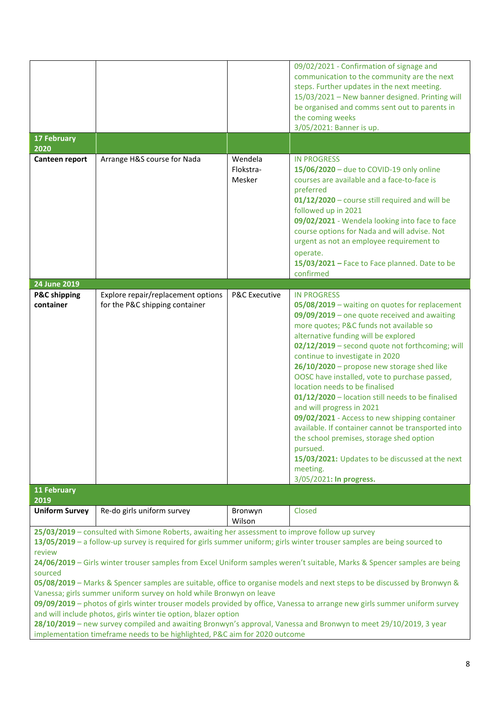| <b>17 February</b><br>2020<br>Canteen report                                                                                                                                                                                                                                                                                                                                                                                                                                                                                                                                                                                                                                                                                                                                                                                                                                                                                                                                     | Arrange H&S course for Nada                                          | Wendela<br>Flokstra-<br>Mesker | 09/02/2021 - Confirmation of signage and<br>communication to the community are the next<br>steps. Further updates in the next meeting.<br>15/03/2021 - New banner designed. Printing will<br>be organised and comms sent out to parents in<br>the coming weeks<br>3/05/2021: Banner is up.<br><b>IN PROGRESS</b><br>15/06/2020 - due to COVID-19 only online<br>courses are available and a face-to-face is<br>preferred<br>01/12/2020 - course still required and will be<br>followed up in 2021<br>09/02/2021 - Wendela looking into face to face<br>course options for Nada and will advise. Not<br>urgent as not an employee requirement to<br>operate.<br>15/03/2021 - Face to Face planned. Date to be                                                              |
|----------------------------------------------------------------------------------------------------------------------------------------------------------------------------------------------------------------------------------------------------------------------------------------------------------------------------------------------------------------------------------------------------------------------------------------------------------------------------------------------------------------------------------------------------------------------------------------------------------------------------------------------------------------------------------------------------------------------------------------------------------------------------------------------------------------------------------------------------------------------------------------------------------------------------------------------------------------------------------|----------------------------------------------------------------------|--------------------------------|---------------------------------------------------------------------------------------------------------------------------------------------------------------------------------------------------------------------------------------------------------------------------------------------------------------------------------------------------------------------------------------------------------------------------------------------------------------------------------------------------------------------------------------------------------------------------------------------------------------------------------------------------------------------------------------------------------------------------------------------------------------------------|
|                                                                                                                                                                                                                                                                                                                                                                                                                                                                                                                                                                                                                                                                                                                                                                                                                                                                                                                                                                                  |                                                                      |                                | confirmed                                                                                                                                                                                                                                                                                                                                                                                                                                                                                                                                                                                                                                                                                                                                                                 |
| 24 June 2019<br><b>P&amp;C shipping</b><br>container<br>11 February                                                                                                                                                                                                                                                                                                                                                                                                                                                                                                                                                                                                                                                                                                                                                                                                                                                                                                              | Explore repair/replacement options<br>for the P&C shipping container | <b>P&amp;C Executive</b>       | <b>IN PROGRESS</b><br>05/08/2019 - waiting on quotes for replacement<br>09/09/2019 - one quote received and awaiting<br>more quotes; P&C funds not available so<br>alternative funding will be explored<br>02/12/2019 - second quote not forthcoming; will<br>continue to investigate in 2020<br>26/10/2020 - propose new storage shed like<br>OOSC have installed, vote to purchase passed,<br>location needs to be finalised<br>01/12/2020 - location still needs to be finalised<br>and will progress in 2021<br>09/02/2021 - Access to new shipping container<br>available. If container cannot be transported into<br>the school premises, storage shed option<br>pursued.<br>15/03/2021: Updates to be discussed at the next<br>meeting.<br>3/05/2021: In progress. |
| 2019                                                                                                                                                                                                                                                                                                                                                                                                                                                                                                                                                                                                                                                                                                                                                                                                                                                                                                                                                                             |                                                                      |                                |                                                                                                                                                                                                                                                                                                                                                                                                                                                                                                                                                                                                                                                                                                                                                                           |
| <b>Uniform Survey</b>                                                                                                                                                                                                                                                                                                                                                                                                                                                                                                                                                                                                                                                                                                                                                                                                                                                                                                                                                            | Re-do girls uniform survey                                           | Bronwyn<br>Wilson              | Closed                                                                                                                                                                                                                                                                                                                                                                                                                                                                                                                                                                                                                                                                                                                                                                    |
| 25/03/2019 - consulted with Simone Roberts, awaiting her assessment to improve follow up survey<br>13/05/2019 - a follow-up survey is required for girls summer uniform; girls winter trouser samples are being sourced to<br>review<br>24/06/2019 - Girls winter trouser samples from Excel Uniform samples weren't suitable, Marks & Spencer samples are being<br>sourced<br>05/08/2019 - Marks & Spencer samples are suitable, office to organise models and next steps to be discussed by Bronwyn &<br>Vanessa; girls summer uniform survey on hold while Bronwyn on leave<br>09/09/2019 - photos of girls winter trouser models provided by office, Vanessa to arrange new girls summer uniform survey<br>and will include photos, girls winter tie option, blazer option<br>28/10/2019 - new survey compiled and awaiting Bronwyn's approval, Vanessa and Bronwyn to meet 29/10/2019, 3 year<br>implementation timeframe needs to be highlighted, P&C aim for 2020 outcome |                                                                      |                                |                                                                                                                                                                                                                                                                                                                                                                                                                                                                                                                                                                                                                                                                                                                                                                           |